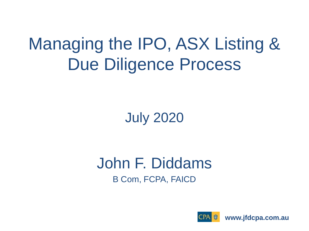#### Managing the IPO, ASX Listing & Due Diligence Process

July 2020

John F. Diddams B Com, FCPA, FAICD



**www.jfdcpa.com.au**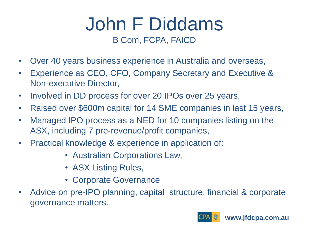#### John F Diddams B Com, FCPA, FAICD

- Over 40 years business experience in Australia and overseas,
- Experience as CEO, CFO, Company Secretary and Executive & Non-executive Director,
- Involved in DD process for over 20 IPOs over 25 years,
- Raised over \$600m capital for 14 SME companies in last 15 years,
- Managed IPO process as a NED for 10 companies listing on the ASX, including 7 pre-revenue/profit companies,
- Practical knowledge & experience in application of:
	- Australian Corporations Law,
	- ASX Listing Rules,
	- Corporate Governance
- Advice on pre-IPO planning, capital structure, financial & corporate governance matters.

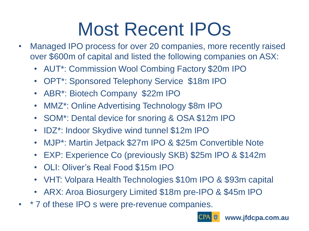# Most Recent IPOs

- Managed IPO process for over 20 companies, more recently raised over \$600m of capital and listed the following companies on ASX:
	- AUT\*: Commission Wool Combing Factory \$20m IPO
	- OPT\*: Sponsored Telephony Service \$18m IPO
	- ABR\*: Biotech Company \$22m IPO
	- MMZ\*: Online Advertising Technology \$8m IPO
	- SOM\*: Dental device for snoring & OSA \$12m IPO
	- IDZ\*: Indoor Skydive wind tunnel \$12m IPO
	- MJP\*: Martin Jetpack \$27m IPO & \$25m Convertible Note
	- EXP: Experience Co (previously SKB) \$25m IPO & \$142m
	- OLI: Oliver's Real Food \$15m IPO
	- VHT: Volpara Health Technologies \$10m IPO & \$93m capital
	- ARX: Aroa Biosurgery Limited \$18m pre-IPO & \$45m IPO
- \* 7 of these IPO s were pre-revenue companies.

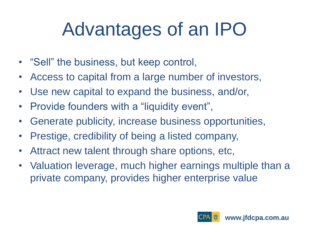# Advantages of an IPO

- "Sell" the business, but keep control,
- Access to capital from a large number of investors,
- Use new capital to expand the business, and/or,
- Provide founders with a "liquidity event",
- Generate publicity, increase business opportunities,
- Prestige, credibility of being a listed company,
- Attract new talent through share options, etc,
- Valuation leverage, much higher earnings multiple than a private company, provides higher enterprise value

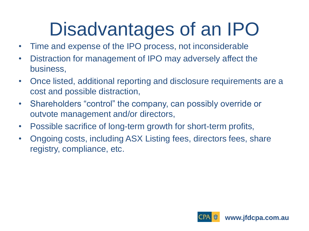# Disadvantages of an IPO

- Time and expense of the IPO process, not inconsiderable
- Distraction for management of IPO may adversely affect the business,
- Once listed, additional reporting and disclosure requirements are a cost and possible distraction,
- Shareholders "control" the company, can possibly override or outvote management and/or directors,
- Possible sacrifice of long-term growth for short-term profits,
- Ongoing costs, including ASX Listing fees, directors fees, share registry, compliance, etc.

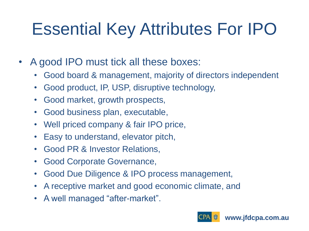### Essential Key Attributes For IPO

- A good IPO must tick all these boxes:
	- Good board & management, majority of directors independent
	- Good product, IP, USP, disruptive technology,
	- Good market, growth prospects,
	- Good business plan, executable,
	- Well priced company & fair IPO price,
	- Easy to understand, elevator pitch,
	- Good PR & Investor Relations,
	- Good Corporate Governance,
	- Good Due Diligence & IPO process management,
	- A receptive market and good economic climate, and
	- A well managed "after-market".

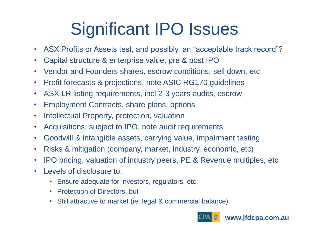### Significant IPO Issues

- ASX Profits or Assets test, and possibly, an "acceptable track record"?
- Capital structure & enterprise value, pre & post IPO
- Vendor and Founders shares, escrow conditions, sell down, etc
- Profit forecasts & projections, note ASIC RG170 guidelines
- ASX LR listing requirements, incl 2-3 years audits, escrow
- Employment Contracts, share plans, options
- Intellectual Property, protection, valuation
- Acquisitions, subject to IPO, note audit requirements
- Goodwill & intangible assets, carrying value, impairment testing
- Risks & mitigation (company, market, industry, economic, etc)
- IPO pricing, valuation of industry peers, PE & Revenue multiples, etc
- Levels of disclosure to:
	- Ensure adequate for investors, regulators, etc,
	- Protection of Directors, but
	- Still attractive to market (ie: legal & commercial balance)



**www.jfdcpa.com.au**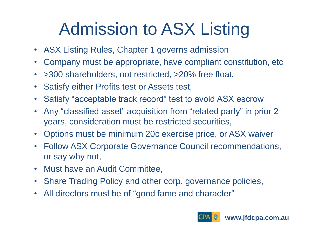### Admission to ASX Listing

- ASX Listing Rules, Chapter 1 governs admission
- Company must be appropriate, have compliant constitution, etc
- > 300 shareholders, not restricted, > 20% free float,
- Satisfy either Profits test or Assets test,
- Satisfy "acceptable track record" test to avoid ASX escrow
- Any "classified asset" acquisition from "related party" in prior 2 years, consideration must be restricted securities,
- Options must be minimum 20c exercise price, or ASX waiver
- Follow ASX Corporate Governance Council recommendations, or say why not,
- Must have an Audit Committee,
- Share Trading Policy and other corp. governance policies,
- All directors must be of "good fame and character"

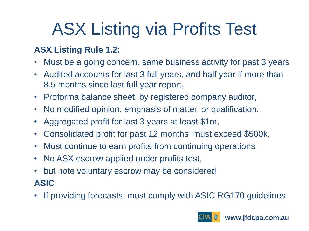## ASX Listing via Profits Test

#### **ASX Listing Rule 1.2:**

- Must be a going concern, same business activity for past 3 years
- Audited accounts for last 3 full years, and half year if more than 8.5 months since last full year report,
- Proforma balance sheet, by registered company auditor,
- No modified opinion, emphasis of matter, or qualification,
- Aggregated profit for last 3 years at least \$1m,
- Consolidated profit for past 12 months must exceed \$500k,
- Must continue to earn profits from continuing operations
- No ASX escrow applied under profits test,
- but note voluntary escrow may be considered **ASIC**
- If providing forecasts, must comply with ASIC RG170 guidelines

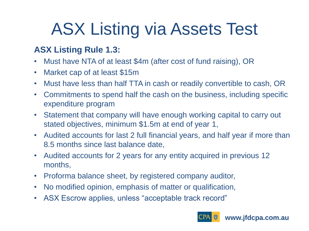### ASX Listing via Assets Test

#### **ASX Listing Rule 1.3:**

- Must have NTA of at least \$4m (after cost of fund raising), OR
- Market cap of at least \$15m
- Must have less than half TTA in cash or readily convertible to cash, OR
- Commitments to spend half the cash on the business, including specific expenditure program
- Statement that company will have enough working capital to carry out stated objectives, minimum \$1.5m at end of year 1,
- Audited accounts for last 2 full financial years, and half year if more than 8.5 months since last balance date,
- Audited accounts for 2 years for any entity acquired in previous 12 months,
- Proforma balance sheet, by registered company auditor,
- No modified opinion, emphasis of matter or qualification,
- ASX Escrow applies, unless "acceptable track record"

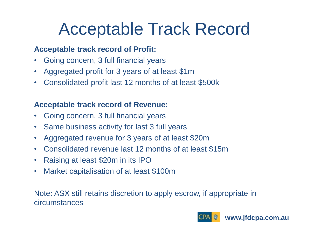#### Acceptable Track Record

#### **Acceptable track record of Profit:**

- Going concern, 3 full financial years
- Aggregated profit for 3 years of at least \$1m
- Consolidated profit last 12 months of at least \$500k

#### **Acceptable track record of Revenue:**

- Going concern, 3 full financial years
- Same business activity for last 3 full years
- Aggregated revenue for 3 years of at least \$20m
- Consolidated revenue last 12 months of at least \$15m
- Raising at least \$20m in its IPO
- Market capitalisation of at least \$100m

Note: ASX still retains discretion to apply escrow, if appropriate in circumstances

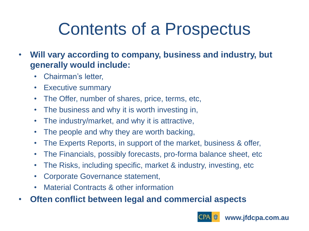### Contents of a Prospectus

- **Will vary according to company, business and industry, but generally would include:**
	- Chairman's letter,
	- Executive summary
	- The Offer, number of shares, price, terms, etc,
	- The business and why it is worth investing in,
	- The industry/market, and why it is attractive,
	- The people and why they are worth backing,
	- The Experts Reports, in support of the market, business & offer,
	- The Financials, possibly forecasts, pro-forma balance sheet, etc
	- The Risks, including specific, market & industry, investing, etc
	- Corporate Governance statement,
	- Material Contracts & other information
- **Often conflict between legal and commercial aspects**

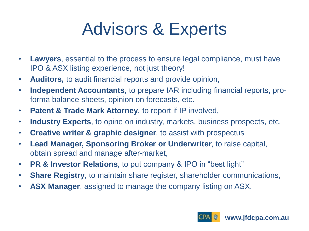#### Advisors & Experts

- **Lawyers**, essential to the process to ensure legal compliance, must have IPO & ASX listing experience, not just theory!
- **Auditors,** to audit financial reports and provide opinion,
- **Independent Accountants**, to prepare IAR including financial reports, proforma balance sheets, opinion on forecasts, etc.
- **Patent & Trade Mark Attorney**, to report if IP involved,
- **Industry Experts**, to opine on industry, markets, business prospects, etc,
- **Creative writer & graphic designer**, to assist with prospectus
- **Lead Manager, Sponsoring Broker or Underwriter**, to raise capital, obtain spread and manage after-market,
- **PR & Investor Relations**, to put company & IPO in "best light"
- **Share Registry**, to maintain share register, shareholder communications,
- **ASX Manager**, assigned to manage the company listing on ASX.

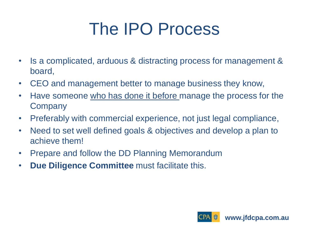### The IPO Process

- Is a complicated, arduous & distracting process for management & board,
- CEO and management better to manage business they know,
- Have someone who has done it before manage the process for the **Company**
- Preferably with commercial experience, not just legal compliance,
- Need to set well defined goals & objectives and develop a plan to achieve them!
- Prepare and follow the DD Planning Memorandum
- **Due Diligence Committee** must facilitate this.

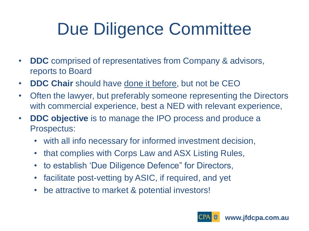### Due Diligence Committee

- **DDC** comprised of representatives from Company & advisors, reports to Board
- **DDC Chair** should have done it before, but not be CEO
- Often the lawyer, but preferably someone representing the Directors with commercial experience, best a NED with relevant experience,
- **DDC objective** is to manage the IPO process and produce a Prospectus:
	- with all info necessary for informed investment decision,
	- that complies with Corps Law and ASX Listing Rules,
	- to establish 'Due Diligence Defence" for Directors,
	- facilitate post-vetting by ASIC, if required, and yet
	- be attractive to market & potential investors!

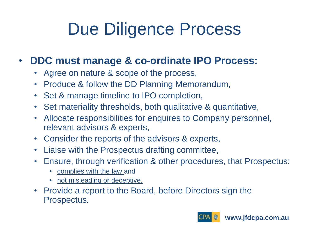### Due Diligence Process

#### • **DDC must manage & co-ordinate IPO Process:**

- Agree on nature & scope of the process,
- Produce & follow the DD Planning Memorandum,
- Set & manage timeline to IPO completion,
- Set materiality thresholds, both qualitative & quantitative,
- Allocate responsibilities for enquires to Company personnel, relevant advisors & experts,
- Consider the reports of the advisors & experts,
- Liaise with the Prospectus drafting committee,
- Ensure, through verification & other procedures, that Prospectus:
	- complies with the law and
	- not misleading or deceptive,
- Provide a report to the Board, before Directors sign the Prospectus.

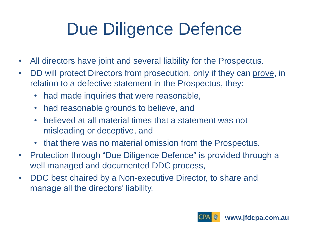## Due Diligence Defence

- All directors have joint and several liability for the Prospectus.
- DD will protect Directors from prosecution, only if they can prove, in relation to a defective statement in the Prospectus, they:
	- had made inquiries that were reasonable,
	- had reasonable grounds to believe, and
	- believed at all material times that a statement was not misleading or deceptive, and
	- that there was no material omission from the Prospectus.
- Protection through "Due Diligence Defence" is provided through a well managed and documented DDC process,
- DDC best chaired by a Non-executive Director, to share and manage all the directors' liability.

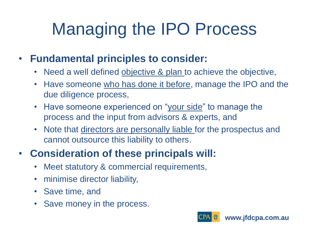## Managing the IPO Process

#### • **Fundamental principles to consider:**

- Need a well defined objective & plan to achieve the objective,
- Have someone who has done it before, manage the IPO and the due diligence process,
- Have someone experienced on "your side" to manage the process and the input from advisors & experts, and
- Note that directors are personally liable for the prospectus and cannot outsource this liability to others.

#### • **Consideration of these principals will:**

- Meet statutory & commercial requirements,
- minimise director liability,
- Save time, and
- Save money in the process.

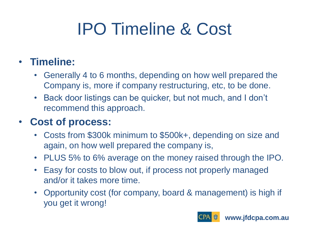## IPO Timeline & Cost

#### • **Timeline:**

- Generally 4 to 6 months, depending on how well prepared the Company is, more if company restructuring, etc, to be done.
- Back door listings can be quicker, but not much, and I don't recommend this approach.

#### • **Cost of process:**

- Costs from \$300k minimum to \$500k+, depending on size and again, on how well prepared the company is,
- PLUS 5% to 6% average on the money raised through the IPO.
- Easy for costs to blow out, if process not properly managed and/or it takes more time.
- Opportunity cost (for company, board & management) is high if you get it wrong!

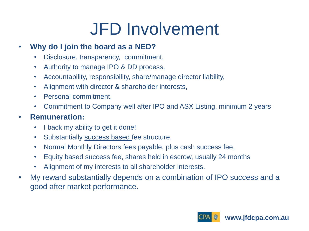### JFD Involvement

#### • **Why do I join the board as a NED?**

- Disclosure, transparency, commitment,
- Authority to manage IPO & DD process,
- Accountability, responsibility, share/manage director liability,
- Alignment with director & shareholder interests,
- Personal commitment,
- Commitment to Company well after IPO and ASX Listing, minimum 2 years

#### • **Remuneration:**

- I back my ability to get it done!
- Substantially success based fee structure,
- Normal Monthly Directors fees payable, plus cash success fee,
- Equity based success fee, shares held in escrow, usually 24 months
- Alignment of my interests to all shareholder interests.
- My reward substantially depends on a combination of IPO success and a good after market performance.

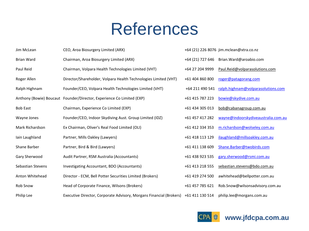#### References

| Jim McLean        | CEO, Aroa Biosurgery Limited (ARX)                                                  |                  | +64 (21) 226 8076 jim.mclean@xtra.co.nz |
|-------------------|-------------------------------------------------------------------------------------|------------------|-----------------------------------------|
| <b>Brian Ward</b> | Chairman, Aroa Biosurgery Limited (ARX)                                             | +64 (21) 727 646 | Brian.Ward@aroabio.com                  |
| Paul Reid         | Chairman, Volpara Health Technologies Limited (VHT)                                 | +64 27 204 9999  | Paul.Reid@volparasolutions.com          |
| Roger Allen       | Director/Shareholder, Volpara Health Technologies Limited (VHT)                     | +61 404 860 800  | roger@patagorang.com                    |
| Ralph Highnam     | Founder/CEO, Volpara Health Technologies Limited (VHT)                              | +64 211 490 541  | ralph.highnam@volparasolutions.com      |
|                   | Anthony (Bowie) Boucaut Founder/Director, Experience Co Limited (EXP)               | +61 415 787 223  | bowie@skydive.com.au                    |
| <b>Bob East</b>   | Chairman, Experience Co Limited (EXP)                                               | +61 434 305 013  | bob@cabanagroup.com.au                  |
| Wayne Jones       | Founder/CEO, Indoor Skydiving Aust. Group Limited (IDZ)                             | +61 457 417 282  | wayne@indoorskydiveaustralia.com.au     |
| Mark Richardson   | Ex Chairman, Oliver's Real Food Limited (OLI)                                       | +61 412 334 353  | m.richardson@wolseley.com.au            |
| Iain Laughland    | Partner, Mills Oakley (Lawyers)                                                     | +61 418 113 129  | ilaughland@millsoakley.com.au           |
| Shane Barber      | Partner, Bird & Bird (Lawyers)                                                      | +61 411 138 609  | Shane.Barber@twobirds.com               |
| Gary Sherwood     | Audit Partner, RSM Australia (Accountants)                                          | +61 438 923 535  | gary.sherwood@rsmi.com.au               |
| Sebastian Stevens | Investigating Accountant, BDO (Accountants)                                         | +61 413 218 555  | sebastian.stevens@bdo.com.au            |
| Anton Whitehead   | Director - ECM, Bell Potter Securities Limited (Brokers)                            | +61 419 274 500  | awhitehead@bellpotter.com.au            |
| <b>Rob Snow</b>   | Head of Corporate Finance, Wilsons (Brokers)                                        | +61 457 785 621  | Rob.Snow@wilsonsadvisory.com.au         |
| Philip Lee        | Executive Director, Corporate Advisory, Morgans Financial (Brokers) +61 411 130 514 |                  | philip.lee@morgans.com.au               |



**www.jfdcpa.com.au**